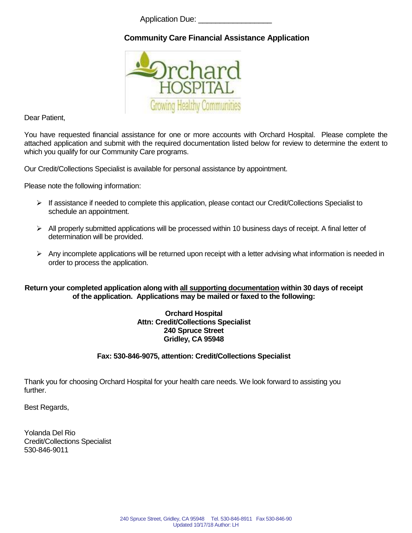Application Due:

# **Community Care Financial Assistance Application**



Dear Patient,

You have requested financial assistance for one or more accounts with Orchard Hospital. Please complete the attached application and submit with the required documentation listed below for review to determine the extent to which you qualify for our Community Care programs.

Our Credit/Collections Specialist is available for personal assistance by appointment.

Please note the following information:

- $\triangleright$  If assistance if needed to complete this application, please contact our Credit/Collections Specialist to schedule an appointment.
- $\triangleright$  All properly submitted applications will be processed within 10 business days of receipt. A final letter of determination will be provided.
- $\triangleright$  Any incomplete applications will be returned upon receipt with a letter advising what information is needed in order to process the application.

#### **Return your completed application along with all supporting documentation within 30 days of receipt of the application. Applications may be mailed or faxed to the following:**

### **Orchard Hospital Attn: Credit/Collections Specialist 240 Spruce Street Gridley, CA 95948**

### **Fax: 530-846-9075, attention: Credit/Collections Specialist**

Thank you for choosing Orchard Hospital for your health care needs. We look forward to assisting you further.

Best Regards,

Yolanda Del Rio Credit/Collections Specialist 530-846-9011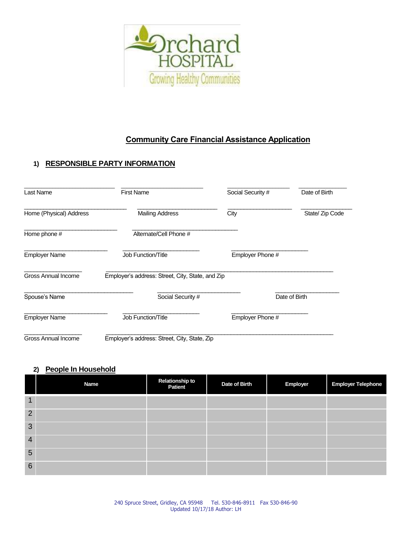

# **Community Care Financial Assistance Application**

## **1) RESPONSIBLE PARTY INFORMATION**

| Last Name                  | <b>First Name</b>                                | Social Security # | Date of Birth   |
|----------------------------|--------------------------------------------------|-------------------|-----------------|
| Home (Physical) Address    | <b>Mailing Address</b>                           | City              | State/ Zip Code |
| Home phone #               | Alternate/Cell Phone #                           |                   |                 |
| <b>Employer Name</b>       | <b>Job Function/Title</b>                        | Employer Phone #  |                 |
| <b>Gross Annual Income</b> | Employer's address: Street, City, State, and Zip |                   |                 |
| Spouse's Name              | Social Security #                                | Date of Birth     |                 |
| <b>Employer Name</b>       | <b>Job Function/Title</b>                        | Employer Phone #  |                 |
| Gross Annual Income        | Employer's address: Street, City, State, Zip     |                   |                 |

### **2) People In Household**

|                | <b>Name</b> | Relationship to<br>Patient | Date of Birth | Employer | <b>Employer Telephone</b> |
|----------------|-------------|----------------------------|---------------|----------|---------------------------|
| 1              |             |                            |               |          |                           |
| 2              |             |                            |               |          |                           |
| 3              |             |                            |               |          |                           |
| $\overline{4}$ |             |                            |               |          |                           |
| $5\phantom{1}$ |             |                            |               |          |                           |
| 6              |             |                            |               |          |                           |